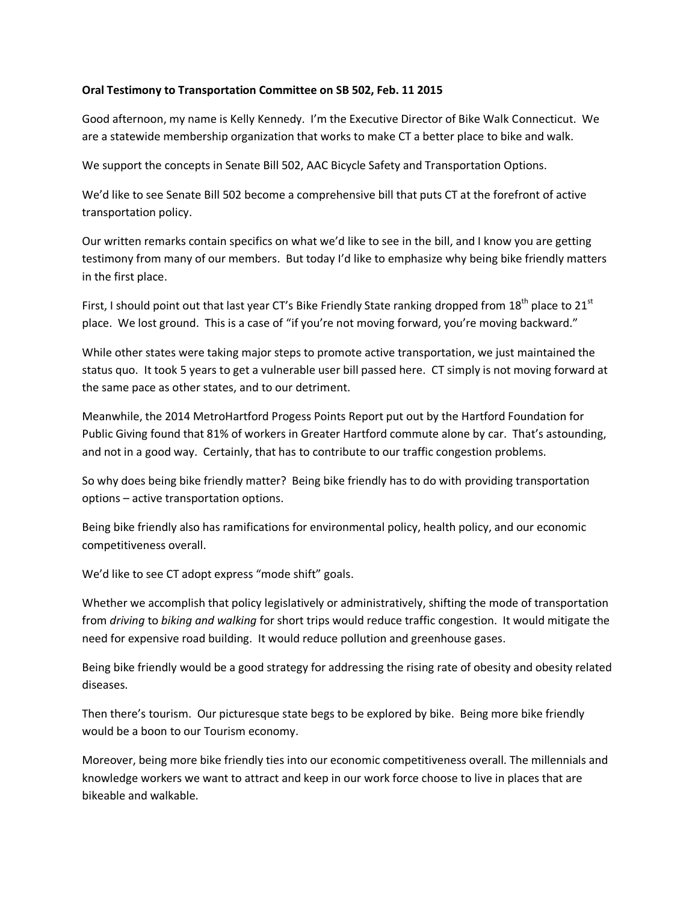## **Oral Testimony to Transportation Committee on SB 502, Feb. 11 2015**

Good afternoon, my name is Kelly Kennedy. I'm the Executive Director of Bike Walk Connecticut. We are a statewide membership organization that works to make CT a better place to bike and walk.

We support the concepts in Senate Bill 502, AAC Bicycle Safety and Transportation Options.

We'd like to see Senate Bill 502 become a comprehensive bill that puts CT at the forefront of active transportation policy.

Our written remarks contain specifics on what we'd like to see in the bill, and I know you are getting testimony from many of our members. But today I'd like to emphasize why being bike friendly matters in the first place.

First, I should point out that last year CT's Bike Friendly State ranking dropped from  $18<sup>th</sup>$  place to  $21<sup>st</sup>$ place. We lost ground. This is a case of "if you're not moving forward, you're moving backward."

While other states were taking major steps to promote active transportation, we just maintained the status quo. It took 5 years to get a vulnerable user bill passed here. CT simply is not moving forward at the same pace as other states, and to our detriment.

Meanwhile, the 2014 MetroHartford Progess Points Report put out by the Hartford Foundation for Public Giving found that 81% of workers in Greater Hartford commute alone by car. That's astounding, and not in a good way. Certainly, that has to contribute to our traffic congestion problems.

So why does being bike friendly matter? Being bike friendly has to do with providing transportation options – active transportation options.

Being bike friendly also has ramifications for environmental policy, health policy, and our economic competitiveness overall.

We'd like to see CT adopt express "mode shift" goals.

Whether we accomplish that policy legislatively or administratively, shifting the mode of transportation from *driving* to *biking and walking* for short trips would reduce traffic congestion. It would mitigate the need for expensive road building. It would reduce pollution and greenhouse gases.

Being bike friendly would be a good strategy for addressing the rising rate of obesity and obesity related diseases.

Then there's tourism. Our picturesque state begs to be explored by bike. Being more bike friendly would be a boon to our Tourism economy.

Moreover, being more bike friendly ties into our economic competitiveness overall. The millennials and knowledge workers we want to attract and keep in our work force choose to live in places that are bikeable and walkable.